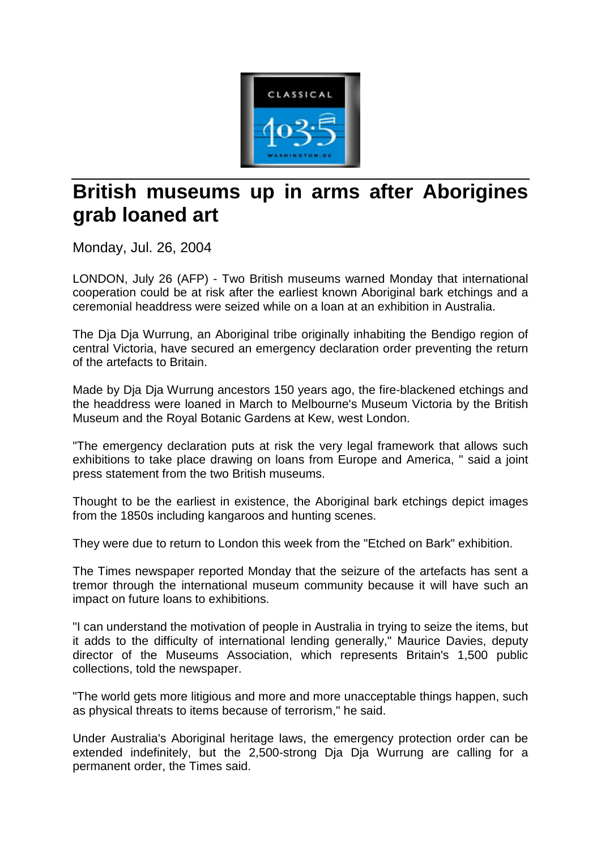

## **British museums up in arms after Aborigines grab loaned art**

Monday, Jul. 26, 2004

LONDON, July 26 (AFP) - Two British museums warned Monday that international cooperation could be at risk after the earliest known Aboriginal bark etchings and a ceremonial headdress were seized while on a loan at an exhibition in Australia.

The Dja Dja Wurrung, an Aboriginal tribe originally inhabiting the Bendigo region of central Victoria, have secured an emergency declaration order preventing the return of the artefacts to Britain.

Made by Dja Dja Wurrung ancestors 150 years ago, the fire-blackened etchings and the headdress were loaned in March to Melbourne's Museum Victoria by the British Museum and the Royal Botanic Gardens at Kew, west London.

"The emergency declaration puts at risk the very legal framework that allows such exhibitions to take place drawing on loans from Europe and America, " said a joint press statement from the two British museums.

Thought to be the earliest in existence, the Aboriginal bark etchings depict images from the 1850s including kangaroos and hunting scenes.

They were due to return to London this week from the "Etched on Bark" exhibition.

The Times newspaper reported Monday that the seizure of the artefacts has sent a tremor through the international museum community because it will have such an impact on future loans to exhibitions.

"I can understand the motivation of people in Australia in trying to seize the items, but it adds to the difficulty of international lending generally," Maurice Davies, deputy director of the Museums Association, which represents Britain's 1,500 public collections, told the newspaper.

"The world gets more litigious and more and more unacceptable things happen, such as physical threats to items because of terrorism," he said.

Under Australia's Aboriginal heritage laws, the emergency protection order can be extended indefinitely, but the 2,500-strong Dja Dja Wurrung are calling for a permanent order, the Times said.